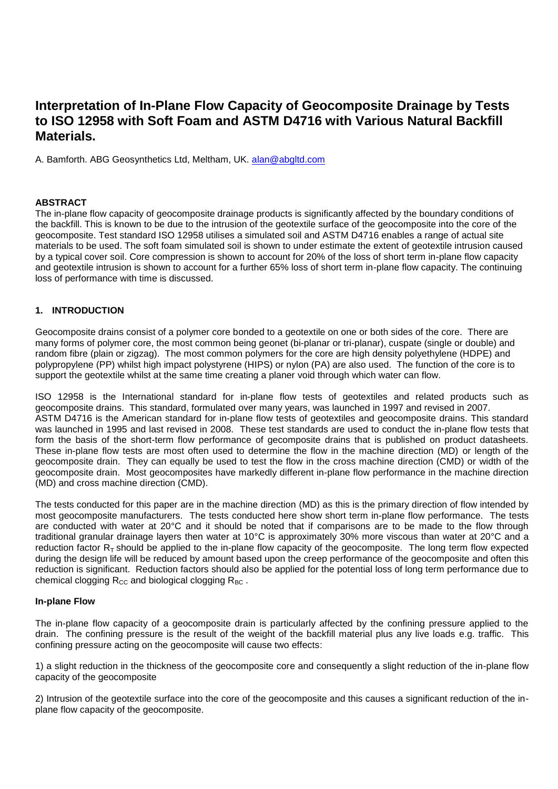# **Interpretation of In-Plane Flow Capacity of Geocomposite Drainage by Tests to ISO 12958 with Soft Foam and ASTM D4716 with Various Natural Backfill Materials.**

A. Bamforth. ABG Geosynthetics Ltd, Meltham, UK. [alan@abgltd.com](mailto:alan@abgltd.com)

## **ABSTRACT**

The in-plane flow capacity of geocomposite drainage products is significantly affected by the boundary conditions of the backfill. This is known to be due to the intrusion of the geotextile surface of the geocomposite into the core of the geocomposite. Test standard ISO 12958 utilises a simulated soil and ASTM D4716 enables a range of actual site materials to be used. The soft foam simulated soil is shown to under estimate the extent of geotextile intrusion caused by a typical cover soil. Core compression is shown to account for 20% of the loss of short term in-plane flow capacity and geotextile intrusion is shown to account for a further 65% loss of short term in-plane flow capacity. The continuing loss of performance with time is discussed.

## **1. INTRODUCTION**

Geocomposite drains consist of a polymer core bonded to a geotextile on one or both sides of the core. There are many forms of polymer core, the most common being geonet (bi-planar or tri-planar), cuspate (single or double) and random fibre (plain or zigzag). The most common polymers for the core are high density polyethylene (HDPE) and polypropylene (PP) whilst high impact polystyrene (HIPS) or nylon (PA) are also used. The function of the core is to support the geotextile whilst at the same time creating a planer void through which water can flow.

ISO 12958 is the International standard for in-plane flow tests of geotextiles and related products such as geocomposite drains. This standard, formulated over many years, was launched in 1997 and revised in 2007. ASTM D4716 is the American standard for in-plane flow tests of geotextiles and geocomposite drains. This standard was launched in 1995 and last revised in 2008. These test standards are used to conduct the in-plane flow tests that form the basis of the short-term flow performance of gecomposite drains that is published on product datasheets. These in-plane flow tests are most often used to determine the flow in the machine direction (MD) or length of the geocomposite drain. They can equally be used to test the flow in the cross machine direction (CMD) or width of the geocomposite drain. Most geocomposites have markedly different in-plane flow performance in the machine direction (MD) and cross machine direction (CMD).

The tests conducted for this paper are in the machine direction (MD) as this is the primary direction of flow intended by most geocomposite manufacturers. The tests conducted here show short term in-plane flow performance. The tests are conducted with water at 20°C and it should be noted that if comparisons are to be made to the flow through traditional granular drainage layers then water at 10°C is approximately 30% more viscous than water at 20°C and a reduction factor  $R<sub>T</sub>$  should be applied to the in-plane flow capacity of the geocomposite. The long term flow expected during the design life will be reduced by amount based upon the creep performance of the geocomposite and often this reduction is significant. Reduction factors should also be applied for the potential loss of long term performance due to chemical clogging  $R_{CC}$  and biological clogging  $R_{BC}$ .

#### **In-plane Flow**

The in-plane flow capacity of a geocomposite drain is particularly affected by the confining pressure applied to the drain. The confining pressure is the result of the weight of the backfill material plus any live loads e.g. traffic. This confining pressure acting on the geocomposite will cause two effects:

1) a slight reduction in the thickness of the geocomposite core and consequently a slight reduction of the in-plane flow capacity of the geocomposite

2) Intrusion of the geotextile surface into the core of the geocomposite and this causes a significant reduction of the inplane flow capacity of the geocomposite.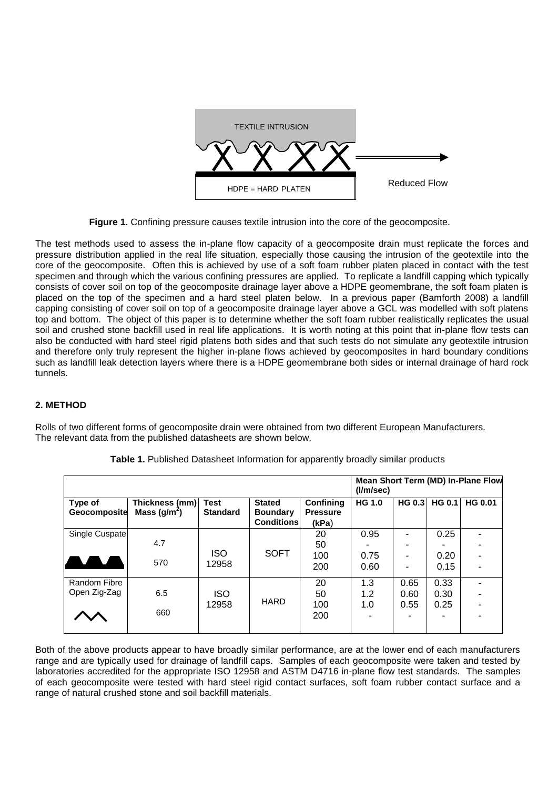

**Figure 1**. Confining pressure causes textile intrusion into the core of the geocomposite.

The test methods used to assess the in-plane flow capacity of a geocomposite drain must replicate the forces and pressure distribution applied in the real life situation, especially those causing the intrusion of the geotextile into the core of the geocomposite. Often this is achieved by use of a soft foam rubber platen placed in contact with the test specimen and through which the various confining pressures are applied. To replicate a landfill capping which typically consists of cover soil on top of the geocomposite drainage layer above a HDPE geomembrane, the soft foam platen is placed on the top of the specimen and a hard steel platen below. In a previous paper (Bamforth 2008) a landfill capping consisting of cover soil on top of a geocomposite drainage layer above a GCL was modelled with soft platens top and bottom. The object of this paper is to determine whether the soft foam rubber realistically replicates the usual soil and crushed stone backfill used in real life applications. It is worth noting at this point that in-plane flow tests can also be conducted with hard steel rigid platens both sides and that such tests do not simulate any geotextile intrusion and therefore only truly represent the higher in-plane flows achieved by geocomposites in hard boundary conditions such as landfill leak detection layers where there is a HDPE geomembrane both sides or internal drainage of hard rock tunnels.

## **2. METHOD**

Rolls of two different forms of geocomposite drain were obtained from two different European Manufacturers. The relevant data from the published datasheets are shown below.

|                              |                                  |                                |                                                       | Mean Short Term (MD) In-Plane Flow<br>(1/m/sec) |                      |                      |                      |                |
|------------------------------|----------------------------------|--------------------------------|-------------------------------------------------------|-------------------------------------------------|----------------------|----------------------|----------------------|----------------|
| Type of<br>Geocomposite      | Thickness (mm)<br>Mass $(g/m^2)$ | <b>Test</b><br><b>Standard</b> | <b>Stated</b><br><b>Boundary</b><br><b>Conditions</b> | Confining<br><b>Pressure</b><br>(kPa)           | <b>HG 1.0</b>        |                      | HG 0.3 HG 0.1        | <b>HG 0.01</b> |
| Single Cuspate               | 4.7<br>570                       | <b>ISO</b><br>12958            | <b>SOFT</b>                                           | 20<br>50<br>100<br>200                          | 0.95<br>0.75<br>0.60 | -                    | 0.25<br>0.20<br>0.15 |                |
| Random Fibre<br>Open Zig-Zag | 6.5<br>660                       | <b>ISO</b><br>12958            | <b>HARD</b>                                           | 20<br>50<br>100<br>200                          | 1.3<br>1.2<br>1.0    | 0.65<br>0.60<br>0.55 | 0.33<br>0.30<br>0.25 |                |

**Table 1.** Published Datasheet Information for apparently broadly similar products

Both of the above products appear to have broadly similar performance, are at the lower end of each manufacturers range and are typically used for drainage of landfill caps. Samples of each geocomposite were taken and tested by laboratories accredited for the appropriate ISO 12958 and ASTM D4716 in-plane flow test standards. The samples of each geocomposite were tested with hard steel rigid contact surfaces, soft foam rubber contact surface and a range of natural crushed stone and soil backfill materials.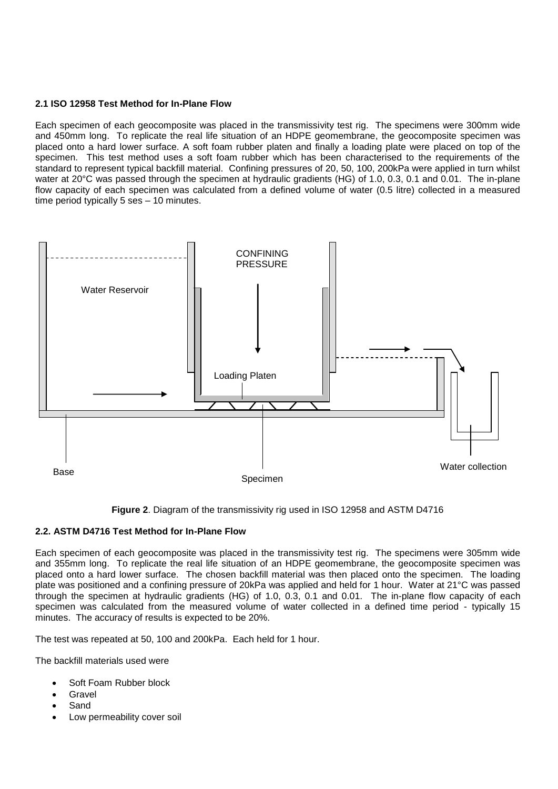## **2.1 ISO 12958 Test Method for In-Plane Flow**

Each specimen of each geocomposite was placed in the transmissivity test rig. The specimens were 300mm wide and 450mm long. To replicate the real life situation of an HDPE geomembrane, the geocomposite specimen was placed onto a hard lower surface. A soft foam rubber platen and finally a loading plate were placed on top of the specimen. This test method uses a soft foam rubber which has been characterised to the requirements of the standard to represent typical backfill material. Confining pressures of 20, 50, 100, 200kPa were applied in turn whilst water at 20°C was passed through the specimen at hydraulic gradients (HG) of 1.0, 0.3, 0.1 and 0.01. The in-plane flow capacity of each specimen was calculated from a defined volume of water (0.5 litre) collected in a measured time period typically 5 ses – 10 minutes.





#### **2.2. ASTM D4716 Test Method for In-Plane Flow**

Each specimen of each geocomposite was placed in the transmissivity test rig. The specimens were 305mm wide and 355mm long. To replicate the real life situation of an HDPE geomembrane, the geocomposite specimen was placed onto a hard lower surface. The chosen backfill material was then placed onto the specimen. The loading plate was positioned and a confining pressure of 20kPa was applied and held for 1 hour. Water at 21°C was passed through the specimen at hydraulic gradients (HG) of 1.0, 0.3, 0.1 and 0.01. The in-plane flow capacity of each specimen was calculated from the measured volume of water collected in a defined time period - typically 15 minutes. The accuracy of results is expected to be 20%.

The test was repeated at 50, 100 and 200kPa. Each held for 1 hour.

The backfill materials used were

- Soft Foam Rubber block
- Gravel
- Sand
- Low permeability cover soil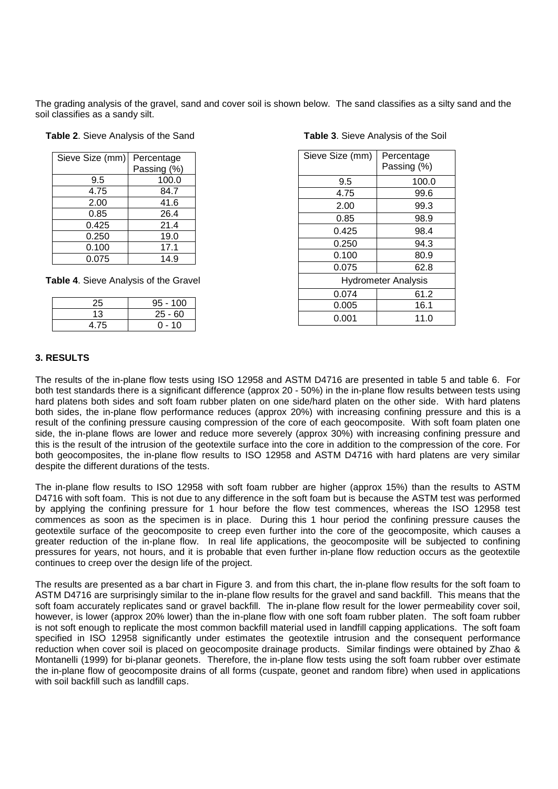The grading analysis of the gravel, sand and cover soil is shown below. The sand classifies as a silty sand and the soil classifies as a sandy silt.

|  | Table 2. Sieve Analysis of the Sand |  |  |  |
|--|-------------------------------------|--|--|--|
|  |                                     |  |  |  |

| Sieve Size (mm) | Percentage  |  |  |  |
|-----------------|-------------|--|--|--|
|                 | Passing (%) |  |  |  |
| 9.5             | 100.0       |  |  |  |
| 4.75            | 84.7        |  |  |  |
| 2.00            | 41.6        |  |  |  |
| 0.85            | 26.4        |  |  |  |
| 0.425           | 21.4        |  |  |  |
| 0.250           | 19.0        |  |  |  |
| 0.100           | 17.1        |  |  |  |
| 0.075           | 14.9        |  |  |  |

 **Table 4**. Sieve Analysis of the Gravel

| 25   | $95 - 100$ |
|------|------------|
| 13   | $25 - 60$  |
| 4.75 | $0 - 10$   |

| Sieve Size (mm)            | Percentage<br>Passing (%) |  |  |  |
|----------------------------|---------------------------|--|--|--|
| 9.5                        | 100.0                     |  |  |  |
| 4.75                       | 99.6                      |  |  |  |
| 2.00                       | 99.3                      |  |  |  |
| 0.85                       | 98.9                      |  |  |  |
| 0.425                      | 98.4                      |  |  |  |
| 0.250                      | 94.3                      |  |  |  |
| 0.100                      | 80.9                      |  |  |  |
| 0.075                      | 62.8                      |  |  |  |
| <b>Hydrometer Analysis</b> |                           |  |  |  |
| 0.074                      | 61.2                      |  |  |  |
| 0.005                      | 16.1                      |  |  |  |
| 0.001                      | 11.0                      |  |  |  |

**Table 3**. Sieve Analysis of the Soil

#### **3. RESULTS**

The results of the in-plane flow tests using ISO 12958 and ASTM D4716 are presented in table 5 and table 6. For both test standards there is a significant difference (approx 20 - 50%) in the in-plane flow results between tests using hard platens both sides and soft foam rubber platen on one side/hard platen on the other side. With hard platens both sides, the in-plane flow performance reduces (approx 20%) with increasing confining pressure and this is a result of the confining pressure causing compression of the core of each geocomposite. With soft foam platen one side, the in-plane flows are lower and reduce more severely (approx 30%) with increasing confining pressure and this is the result of the intrusion of the geotextile surface into the core in addition to the compression of the core. For both geocomposites, the in-plane flow results to ISO 12958 and ASTM D4716 with hard platens are very similar despite the different durations of the tests.

The in-plane flow results to ISO 12958 with soft foam rubber are higher (approx 15%) than the results to ASTM D4716 with soft foam. This is not due to any difference in the soft foam but is because the ASTM test was performed by applying the confining pressure for 1 hour before the flow test commences, whereas the ISO 12958 test commences as soon as the specimen is in place. During this 1 hour period the confining pressure causes the geotextile surface of the geocomposite to creep even further into the core of the geocomposite, which causes a greater reduction of the in-plane flow. In real life applications, the geocomposite will be subjected to confining pressures for years, not hours, and it is probable that even further in-plane flow reduction occurs as the geotextile continues to creep over the design life of the project.

The results are presented as a bar chart in Figure 3. and from this chart, the in-plane flow results for the soft foam to ASTM D4716 are surprisingly similar to the in-plane flow results for the gravel and sand backfill. This means that the soft foam accurately replicates sand or gravel backfill. The in-plane flow result for the lower permeability cover soil, however, is lower (approx 20% lower) than the in-plane flow with one soft foam rubber platen. The soft foam rubber is not soft enough to replicate the most common backfill material used in landfill capping applications. The soft foam specified in ISO 12958 significantly under estimates the geotextile intrusion and the consequent performance reduction when cover soil is placed on geocomposite drainage products. Similar findings were obtained by Zhao & Montanelli (1999) for bi-planar geonets. Therefore, the in-plane flow tests using the soft foam rubber over estimate the in-plane flow of geocomposite drains of all forms (cuspate, geonet and random fibre) when used in applications with soil backfill such as landfill caps.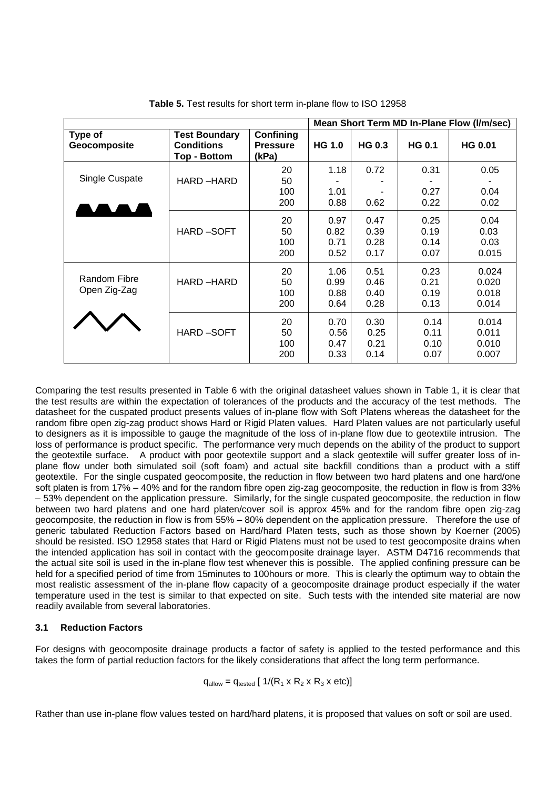|                              |                                                                  |                                       |                              |                              |                              | Mean Short Term MD In-Plane Flow (I/m/sec) |
|------------------------------|------------------------------------------------------------------|---------------------------------------|------------------------------|------------------------------|------------------------------|--------------------------------------------|
| Type of<br>Geocomposite      | <b>Test Boundary</b><br><b>Conditions</b><br><b>Top - Bottom</b> | Confining<br><b>Pressure</b><br>(kPa) | <b>HG 1.0</b>                | <b>HG 0.3</b>                | <b>HG 0.1</b>                | <b>HG 0.01</b>                             |
| Single Cuspate               | HARD-HARD                                                        | 20<br>50<br>100<br>200                | 1.18<br>1.01<br>0.88         | 0.72<br>0.62                 | 0.31<br>0.27<br>0.22         | 0.05<br>0.04<br>0.02                       |
|                              | <b>HARD-SOFT</b>                                                 | 20<br>50<br>100<br>200                | 0.97<br>0.82<br>0.71<br>0.52 | 0.47<br>0.39<br>0.28<br>0.17 | 0.25<br>0.19<br>0.14<br>0.07 | 0.04<br>0.03<br>0.03<br>0.015              |
| Random Fibre<br>Open Zig-Zag | HARD-HARD                                                        | 20<br>50<br>100<br>200                | 1.06<br>0.99<br>0.88<br>0.64 | 0.51<br>0.46<br>0.40<br>0.28 | 0.23<br>0.21<br>0.19<br>0.13 | 0.024<br>0.020<br>0.018<br>0.014           |
|                              | <b>HARD-SOFT</b>                                                 | 20<br>50<br>100<br>200                | 0.70<br>0.56<br>0.47<br>0.33 | 0.30<br>0.25<br>0.21<br>0.14 | 0.14<br>0.11<br>0.10<br>0.07 | 0.014<br>0.011<br>0.010<br>0.007           |

**Table 5.** Test results for short term in-plane flow to ISO 12958

Comparing the test results presented in Table 6 with the original datasheet values shown in Table 1, it is clear that the test results are within the expectation of tolerances of the products and the accuracy of the test methods. The datasheet for the cuspated product presents values of in-plane flow with Soft Platens whereas the datasheet for the random fibre open zig-zag product shows Hard or Rigid Platen values. Hard Platen values are not particularly useful to designers as it is impossible to gauge the magnitude of the loss of in-plane flow due to geotextile intrusion. The loss of performance is product specific. The performance very much depends on the ability of the product to support the geotextile surface. A product with poor geotextile support and a slack geotextile will suffer greater loss of inplane flow under both simulated soil (soft foam) and actual site backfill conditions than a product with a stiff geotextile. For the single cuspated geocomposite, the reduction in flow between two hard platens and one hard/one soft platen is from 17% – 40% and for the random fibre open zig-zag geocomposite, the reduction in flow is from 33% – 53% dependent on the application pressure. Similarly, for the single cuspated geocomposite, the reduction in flow between two hard platens and one hard platen/cover soil is approx 45% and for the random fibre open zig-zag geocomposite, the reduction in flow is from 55% – 80% dependent on the application pressure. Therefore the use of generic tabulated Reduction Factors based on Hard/hard Platen tests, such as those shown by Koerner (2005) should be resisted. ISO 12958 states that Hard or Rigid Platens must not be used to test geocomposite drains when the intended application has soil in contact with the geocomposite drainage layer. ASTM D4716 recommends that the actual site soil is used in the in-plane flow test whenever this is possible. The applied confining pressure can be held for a specified period of time from 15minutes to 100hours or more. This is clearly the optimum way to obtain the most realistic assessment of the in-plane flow capacity of a geocomposite drainage product especially if the water temperature used in the test is similar to that expected on site. Such tests with the intended site material are now readily available from several laboratories.

## **3.1 Reduction Factors**

For designs with geocomposite drainage products a factor of safety is applied to the tested performance and this takes the form of partial reduction factors for the likely considerations that affect the long term performance.

 $q_{\text{allow}} = q_{\text{tested}} [1/(R_1 \times R_2 \times R_3 \times \text{etc})]$ 

Rather than use in-plane flow values tested on hard/hard platens, it is proposed that values on soft or soil are used.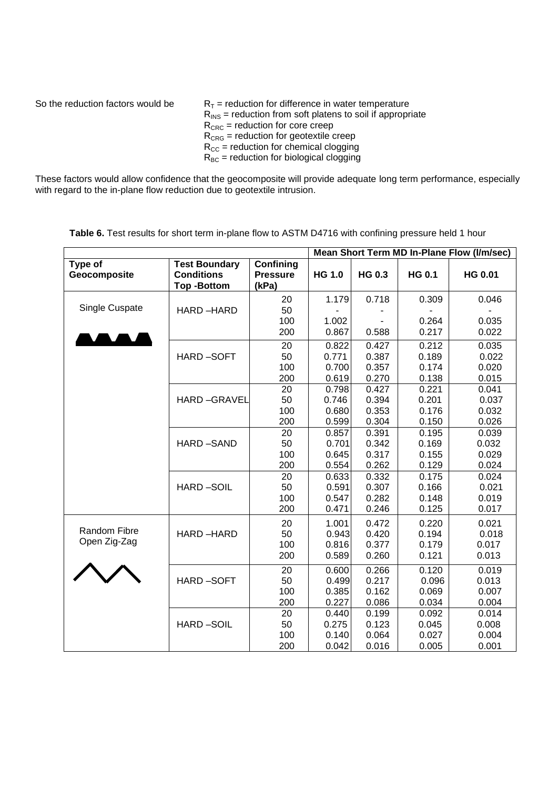| So the reduction factors would be | $R_T$ = reduction for difference in water temperature<br>$R_{INS}$ = reduction from soft platens to soil if appropriate<br>$R_{CRC}$ = reduction for core creep |  |  |  |
|-----------------------------------|-----------------------------------------------------------------------------------------------------------------------------------------------------------------|--|--|--|
|                                   | $R_{CRG}$ = reduction for geotextile creep<br>$R_{\text{CC}}$ = reduction for chemical clogging<br>$R_{BC}$ = reduction for biological clogging                 |  |  |  |

These factors would allow confidence that the geocomposite will provide adequate long term performance, especially with regard to the in-plane flow reduction due to geotextile intrusion.

|                         |                                                                |                                       | Mean Short Term MD In-Plane Flow (I/m/sec) |               |               |                |
|-------------------------|----------------------------------------------------------------|---------------------------------------|--------------------------------------------|---------------|---------------|----------------|
| Type of<br>Geocomposite | <b>Test Boundary</b><br><b>Conditions</b><br><b>Top-Bottom</b> | Confining<br><b>Pressure</b><br>(kPa) | <b>HG 1.0</b>                              | <b>HG 0.3</b> | <b>HG 0.1</b> | <b>HG 0.01</b> |
|                         |                                                                | 20                                    | 1.179                                      | 0.718         | 0.309         | 0.046          |
| Single Cuspate          | HARD-HARD                                                      | 50                                    |                                            |               |               |                |
|                         |                                                                | 100                                   | 1.002                                      |               | 0.264         | 0.035          |
|                         |                                                                | 200                                   | 0.867                                      | 0.588         | 0.217         | 0.022          |
|                         |                                                                | 20                                    | 0.822                                      | 0.427         | 0.212         | 0.035          |
|                         | <b>HARD-SOFT</b>                                               | 50                                    | 0.771                                      | 0.387         | 0.189         | 0.022          |
|                         |                                                                | 100                                   | 0.700                                      | 0.357         | 0.174         | 0.020          |
|                         |                                                                | 200                                   | 0.619                                      | 0.270         | 0.138         | 0.015          |
|                         |                                                                | 20                                    | 0.798                                      | 0.427         | 0.221         | 0.041          |
|                         | <b>HARD-GRAVEL</b>                                             | 50                                    | 0.746                                      | 0.394         | 0.201         | 0.037          |
|                         |                                                                | 100                                   | 0.680                                      | 0.353         | 0.176         | 0.032          |
|                         |                                                                | 200                                   | 0.599                                      | 0.304         | 0.150         | 0.026          |
|                         |                                                                | 20                                    | 0.857                                      | 0.391         | 0.195         | 0.039          |
|                         | <b>HARD-SAND</b>                                               | 50                                    | 0.701                                      | 0.342         | 0.169         | 0.032          |
|                         |                                                                | 100                                   | 0.645                                      | 0.317         | 0.155         | 0.029          |
|                         |                                                                | 200                                   | 0.554                                      | 0.262         | 0.129         | 0.024          |
|                         |                                                                | 20                                    | 0.633                                      | 0.332         | 0.175         | 0.024          |
|                         | <b>HARD-SOIL</b>                                               | 50                                    | 0.591                                      | 0.307         | 0.166         | 0.021          |
|                         |                                                                | 100                                   | 0.547                                      | 0.282         | 0.148         | 0.019          |
|                         |                                                                | 200                                   | 0.471                                      | 0.246         | 0.125         | 0.017          |
|                         |                                                                | 20                                    | 1.001                                      | 0.472         | 0.220         | 0.021          |
| Random Fibre            | HARD-HARD                                                      | 50                                    | 0.943                                      | 0.420         | 0.194         | 0.018          |
| Open Zig-Zag            |                                                                | 100                                   | 0.816                                      | 0.377         | 0.179         | 0.017          |
|                         |                                                                | 200                                   | 0.589                                      | 0.260         | 0.121         | 0.013          |
|                         |                                                                | 20                                    | 0.600                                      | 0.266         | 0.120         | 0.019          |
|                         | <b>HARD-SOFT</b>                                               | 50                                    | 0.499                                      | 0.217         | 0.096         | 0.013          |
|                         |                                                                | 100                                   | 0.385                                      | 0.162         | 0.069         | 0.007          |
|                         |                                                                | 200                                   | 0.227                                      | 0.086         | 0.034         | 0.004          |
|                         |                                                                | 20                                    | 0.440                                      | 0.199         | 0.092         | 0.014          |
|                         | <b>HARD-SOIL</b>                                               | 50                                    | 0.275                                      | 0.123         | 0.045         | 0.008          |
|                         |                                                                | 100                                   | 0.140                                      | 0.064         | 0.027         | 0.004          |
|                         |                                                                | 200                                   | 0.042                                      | 0.016         | 0.005         | 0.001          |

Table 6. Test results for short term in-plane flow to ASTM D4716 with confining pressure held 1 hour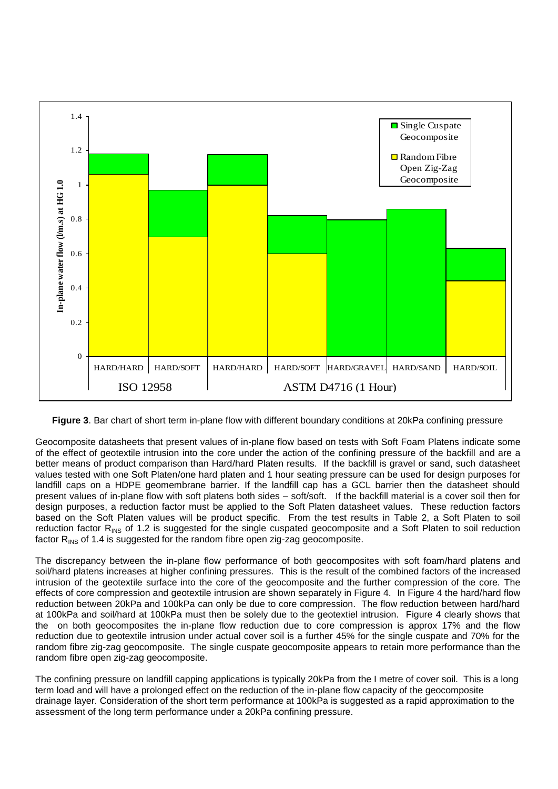

**Figure 3**. Bar chart of short term in-plane flow with different boundary conditions at 20kPa confining pressure

Geocomposite datasheets that present values of in-plane flow based on tests with Soft Foam Platens indicate some of the effect of geotextile intrusion into the core under the action of the confining pressure of the backfill and are a better means of product comparison than Hard/hard Platen results. If the backfill is gravel or sand, such datasheet values tested with one Soft Platen/one hard platen and 1 hour seating pressure can be used for design purposes for landfill caps on a HDPE geomembrane barrier. If the landfill cap has a GCL barrier then the datasheet should present values of in-plane flow with soft platens both sides – soft/soft. If the backfill material is a cover soil then for design purposes, a reduction factor must be applied to the Soft Platen datasheet values. These reduction factors based on the Soft Platen values will be product specific. From the test results in Table 2, a Soft Platen to soil reduction factor R<sub>INS</sub> of 1.2 is suggested for the single cuspated geocomposite and a Soft Platen to soil reduction factor  $R_{\text{INS}}$  of 1.4 is suggested for the random fibre open zig-zag geocomposite.

The discrepancy between the in-plane flow performance of both geocomposites with soft foam/hard platens and soil/hard platens increases at higher confining pressures. This is the result of the combined factors of the increased intrusion of the geotextile surface into the core of the geocomposite and the further compression of the core. The effects of core compression and geotextile intrusion are shown separately in Figure 4. In Figure 4 the hard/hard flow reduction between 20kPa and 100kPa can only be due to core compression. The flow reduction between hard/hard at 100kPa and soil/hard at 100kPa must then be solely due to the geotextiel intrusion. Figure 4 clearly shows that the on both geocomposites the in-plane flow reduction due to core compression is approx 17% and the flow reduction due to geotextile intrusion under actual cover soil is a further 45% for the single cuspate and 70% for the random fibre zig-zag geocomposite. The single cuspate geocomposite appears to retain more performance than the random fibre open zig-zag geocomposite.

The confining pressure on landfill capping applications is typically 20kPa from the I metre of cover soil. This is a long term load and will have a prolonged effect on the reduction of the in-plane flow capacity of the geocomposite drainage layer. Consideration of the short term performance at 100kPa is suggested as a rapid approximation to the assessment of the long term performance under a 20kPa confining pressure.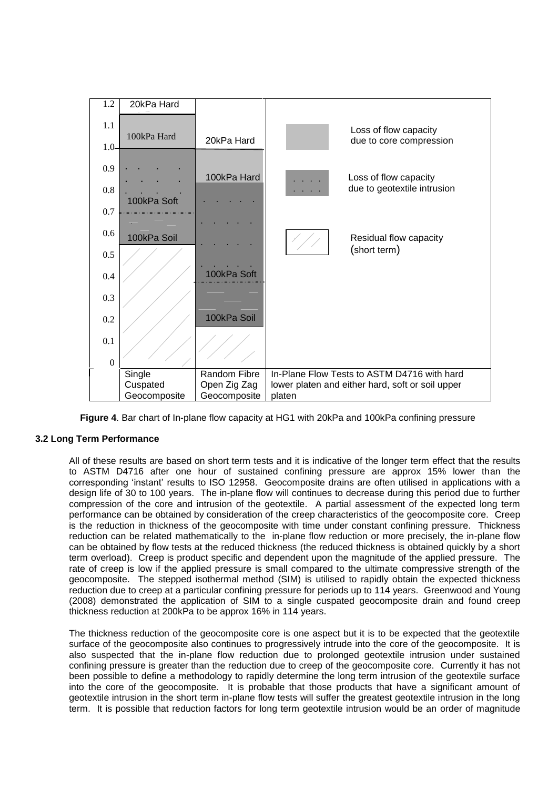

**Figure 4**. Bar chart of In-plane flow capacity at HG1 with 20kPa and 100kPa confining pressure

## **3.2 Long Term Performance**

All of these results are based on short term tests and it is indicative of the longer term effect that the results to ASTM D4716 after one hour of sustained confining pressure are approx 15% lower than the corresponding 'instant' results to ISO 12958. Geocomposite drains are often utilised in applications with a design life of 30 to 100 years. The in-plane flow will continues to decrease during this period due to further compression of the core and intrusion of the geotextile. A partial assessment of the expected long term performance can be obtained by consideration of the creep characteristics of the geocomposite core. Creep is the reduction in thickness of the geocomposite with time under constant confining pressure. Thickness reduction can be related mathematically to the in-plane flow reduction or more precisely, the in-plane flow can be obtained by flow tests at the reduced thickness (the reduced thickness is obtained quickly by a short term overload). Creep is product specific and dependent upon the magnitude of the applied pressure. The rate of creep is low if the applied pressure is small compared to the ultimate compressive strength of the geocomposite. The stepped isothermal method (SIM) is utilised to rapidly obtain the expected thickness reduction due to creep at a particular confining pressure for periods up to 114 years. Greenwood and Young (2008) demonstrated the application of SIM to a single cuspated geocomposite drain and found creep thickness reduction at 200kPa to be approx 16% in 114 years.

The thickness reduction of the geocomposite core is one aspect but it is to be expected that the geotextile surface of the geocomposite also continues to progressively intrude into the core of the geocomposite. It is also suspected that the in-plane flow reduction due to prolonged geotextile intrusion under sustained confining pressure is greater than the reduction due to creep of the geocomposite core. Currently it has not been possible to define a methodology to rapidly determine the long term intrusion of the geotextile surface into the core of the geocomposite. It is probable that those products that have a significant amount of geotextile intrusion in the short term in-plane flow tests will suffer the greatest geotextile intrusion in the long term. It is possible that reduction factors for long term geotextile intrusion would be an order of magnitude